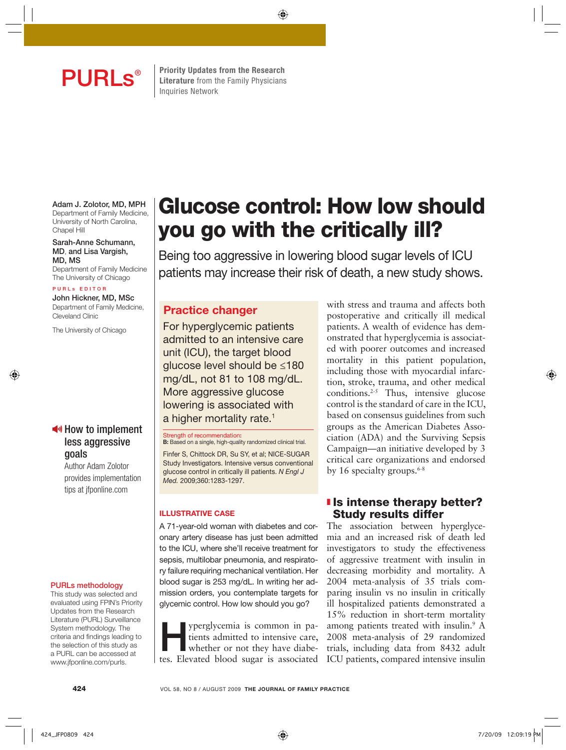

**PURLS**<sup>®</sup> Elterature from the Family Physicians **Literature** from the Family Physicians Inquiries Network

⊕

**Adam J. Zolotor, MD, MPH** Department of Family Medicine, University of North Carolina, Chapel Hill

**Sarah-Anne Schumann, MD**, **and Lisa Vargish, MD, MS**

Department of Family Medicine The University of Chicago

#### **PURLs EDITOR**

⊕

**John Hickner, MD, MSc** Department of Family Medicine, Cleveland Clinic

The University of Chicago

# $\blacktriangleleft$  How to implement less aggressive goals

Author Adam Zolotor provides implementation tips at jfponline.com

#### **PURLs methodology**

This study was selected and evaluated using FPIN's Priority Updates from the Research Literature (PURL) Surveillance System methodology. The criteria and findings leading to the selection of this study as a PURL can be accessed at www.jfponline.com/purls.

# **Glucose control: How low should you go with the critically ill?**

Being too aggressive in lowering blood sugar levels of ICU patients may increase their risk of death, a new study shows.

# **Practice changer**

For hyperglycemic patients admitted to an intensive care unit (ICU), the target blood glucose level should be ≤180 mg/dL, not 81 to 108 mg/dL. More aggressive glucose lowering is associated with a higher mortality rate.<sup>1</sup>

**Strength of recommendation: B:** Based on a single, high-quality randomized clinical trial.

Finfer S, Chittock DR, Su SY, et al; NICE-SUGAR Study Investigators. Intensive versus conventional glucose control in critically ill patients. N Engl J Med. 2009;360:1283-1297.

#### **ILLUSTRATIVE CASE**

A 71-year-old woman with diabetes and coronary artery disease has just been admitted to the ICU, where she'll receive treatment for sepsis, multilobar pneumonia, and respiratory failure requiring mechanical ventilation. Her blood sugar is 253 mg/dL. In writing her admission orders, you contemplate targets for glycemic control. How low should you go?

**Hyperglycemia is common in patients admitted to intensive care, whether or not they have diabe**tients admitted to intensive care, tes. Elevated blood sugar is associated

with stress and trauma and affects both postoperative and critically ill medical patients. A wealth of evidence has demonstrated that hyperglycemia is associated with poorer outcomes and increased mortality in this patient population, including those with myocardial infarction, stroke, trauma, and other medical conditions.2-5 Thus, intensive glucose control is the standard of care in the ICU, based on consensus guidelines from such groups as the American Diabetes Association (ADA) and the Surviving Sepsis Campaign—an initiative developed by 3 critical care organizations and endorsed by 16 specialty groups. $6-8$ 

# ❚ **Is intense therapy better? Study results differ**

The association between hyperglycemia and an increased risk of death led investigators to study the effectiveness of aggressive treatment with insulin in decreasing morbidity and mortality. A 2004 meta-analysis of 35 trials comparing insulin vs no insulin in critically ill hospitalized patients demonstrated a 15% reduction in short-term mortality among patients treated with insulin.<sup>9</sup> A 2008 meta-analysis of 29 randomized trials, including data from 8432 adult ICU patients, compared intensive insulin

**424** VOL 58, NO 8 / AUGUST 2009 **THE JOURNAL OF FAMILY PRACTICE**

⊕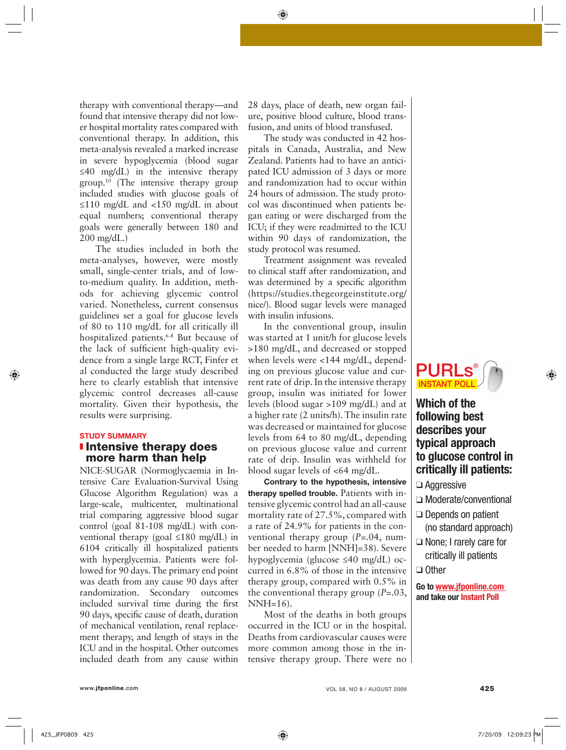therapy with conventional therapy—and found that intensive therapy did not lower hospital mortality rates compared with conventional therapy. In addition, this meta-analysis revealed a marked increase in severe hypoglycemia (blood sugar ≤40 mg/dL) in the intensive therapy group. $10$  (The intensive therapy group included studies with glucose goals of ≤110 mg/dL and <150 mg/dL in about equal numbers; conventional therapy goals were generally between 180 and 200 mg/dL.)

The studies included in both the meta-analyses, however, were mostly small, single-center trials, and of lowto-medium quality. In addition, methods for achieving glycemic control varied. Nonetheless, current consensus guidelines set a goal for glucose levels of 80 to 110 mg/dL for all critically ill hospitalized patients.<sup>6-8</sup> But because of the lack of sufficient high-quality evidence from a single large RCT, Finfer et al conducted the large study described here to clearly establish that intensive glycemic control decreases all-cause mortality. Given their hypothesis, the results were surprising.

# **STUDY SUMMARY**  ❚ **Intensive therapy does**

**more harm than help**

NICE-SUGAR (Normoglycaemia in Intensive Care Evaluation-Survival Using Glucose Algorithm Regulation) was a large-scale, multicenter, multinational trial comparing aggressive blood sugar control (goal 81-108 mg/dL) with conventional therapy (goal ≤180 mg/dL) in 6104 critically ill hospitalized patients with hyperglycemia. Patients were followed for 90 days. The primary end point was death from any cause 90 days after randomization. Secondary outcomes included survival time during the first 90 days, specific cause of death, duration of mechanical ventilation, renal replacement therapy, and length of stays in the ICU and in the hospital. Other outcomes included death from any cause within

28 days, place of death, new organ failure, positive blood culture, blood transfusion, and units of blood transfused.

⊕

The study was conducted in 42 hospitals in Canada, Australia, and New Zealand. Patients had to have an anticipated ICU admission of 3 days or more and randomization had to occur within 24 hours of admission. The study protocol was discontinued when patients began eating or were discharged from the ICU; if they were readmitted to the ICU within 90 days of randomization, the study protocol was resumed.

Treatment assignment was revealed to clinical staff after randomization, and was determined by a specific algorithm (https://studies.thegeorgeinstitute.org/ nice/). Blood sugar levels were managed with insulin infusions.

In the conventional group, insulin was started at 1 unit/h for glucose levels >180 mg/dL, and decreased or stopped when levels were <144 mg/dL, depending on previous glucose value and current rate of drip. In the intensive therapy group, insulin was initiated for lower levels (blood sugar >109 mg/dL) and at a higher rate (2 units/h). The insulin rate was decreased or maintained for glucose levels from 64 to 80 mg/dL, depending on previous glucose value and current rate of drip. Insulin was withheld for blood sugar levels of <64 mg/dL.

**Contrary to the hypothesis, intensive therapy spelled trouble.** Patients with intensive glycemic control had an all-cause mortality rate of 27.5%, compared with a rate of 24.9% for patients in the conventional therapy group (*P*=.04, number needed to harm [NNH]=38). Severe hypoglycemia (glucose ≤40 mg/dL) occurred in 6.8% of those in the intensive therapy group, compared with 0.5% in the conventional therapy group (*P*=.03, NNH=16).

Most of the deaths in both groups occurred in the ICU or in the hospital. Deaths from cardiovascular causes were more common among those in the intensive therapy group. There were no



# **Which of the following best describes your typical approach to glucose control in critically ill patients:**

- ❑ Aggressive
- ❑ Moderate/conventional
- ❑ Depends on patient
- (no standard approach) ❑ None; I rarely care for critically ill patients
- ❑ Other

**Go to www.jfponline.com and take our Instant Poll**

⊕